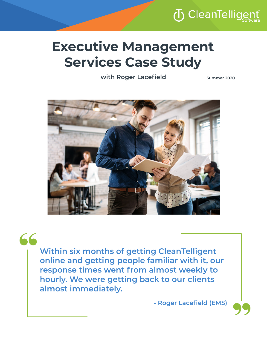# (T) CleanTellige

## **Executive Management Services Case Study**

**with Roger Lacefield**

**Summer 2020**



66

**Within six months of getting CleanTelligent online and getting people familiar with it, our response times went from almost weekly to hourly. We were getting back to our clients almost immediately.**

**- Roger Lacefield (EMS)**

|<br>99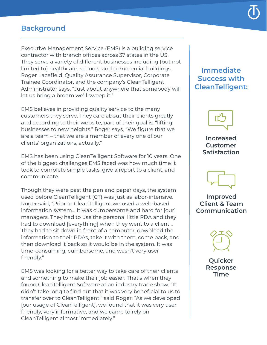#### **Background**

Executive Management Service (EMS) is a building service contractor with branch offices across 37 states in the US. They serve a variety of different businesses including (but not limited to) healthcare, schools, and commercial buildings. Roger Lacefield, Quality Assurance Supervisor, Corporate Trainee Coordinator, and the company's CleanTelligent Administrator says, "Just about anywhere that somebody will let us bring a broom we'll sweep it."

EMS believes in providing quality service to the many customers they serve. They care about their clients greatly and according to their website, part of their goal is, "lifting businesses to new heights." Roger says, "We figure that we are a team – that we are a member of every one of our clients' organizations, actually."

EMS has been using CleanTelligent Software for 10 years. One of the biggest challenges EMS faced was how much time it took to complete simple tasks, give a report to a client, and communicate.

Though they were past the pen and paper days, the system used before CleanTelligent (CT) was just as labor-intensive. Roger said, "Prior to CleanTelligent we used a web-based information system... It was cumbersome and hard for [our] managers. They had to use the personal little PDA and they had to download [everything] when they went to a client... They had to sit down in front of a computer, download the information to their PDAs, take it with them, come back, and then download it back so it would be in the system. It was time-consuming, cumbersome, and wasn't very user friendly."

EMS was looking for a better way to take care of their clients and something to make their job easier. That's when they found CleanTelligent Software at an industry trade show. "It didn't take long to find out that it was very beneficial to us to transfer over to CleanTelligent," said Roger. "As we developed [our usage of CleanTelligent], we found that it was very user friendly, very informative, and we came to rely on CleanTelligent almost immediately."

#### **Immediate Success with CleanTelligent:**



**Increased Customer Satisfaction**



**Improved Client & Team Communication**



**Quicker Response Time**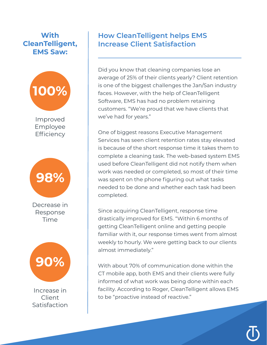## **With CleanTelligent, EMS Saw:**



Employee **Efficiency** 



Decrease in Response Time



Increase in Client Satisfaction

## **How CleanTelligent helps EMS Increase Client Satisfaction**

Did you know that cleaning companies lose an average of 25% of their clients yearly? Client retention is one of the biggest challenges the Jan/San industry faces. However, with the help of CleanTelligent Software, EMS has had no problem retaining customers. "We're proud that we have clients that we've had for years."

One of biggest reasons Executive Management Services has seen client retention rates stay elevated is because of the short response time it takes them to complete a cleaning task. The web-based system EMS used before CleanTelligent did not notify them when work was needed or completed, so most of their time was spent on the phone figuring out what tasks needed to be done and whether each task had been completed.

Since acquiring CleanTelligent, response time drastically improved for EMS. "Within 6 months of getting CleanTelligent online and getting people familiar with it, our response times went from almost weekly to hourly. We were getting back to our clients almost immediately."

With about 70% of communication done within the CT mobile app, both EMS and their clients were fully informed of what work was being done within each facility. According to Roger, CleanTelligent allows EMS to be "proactive instead of reactive."